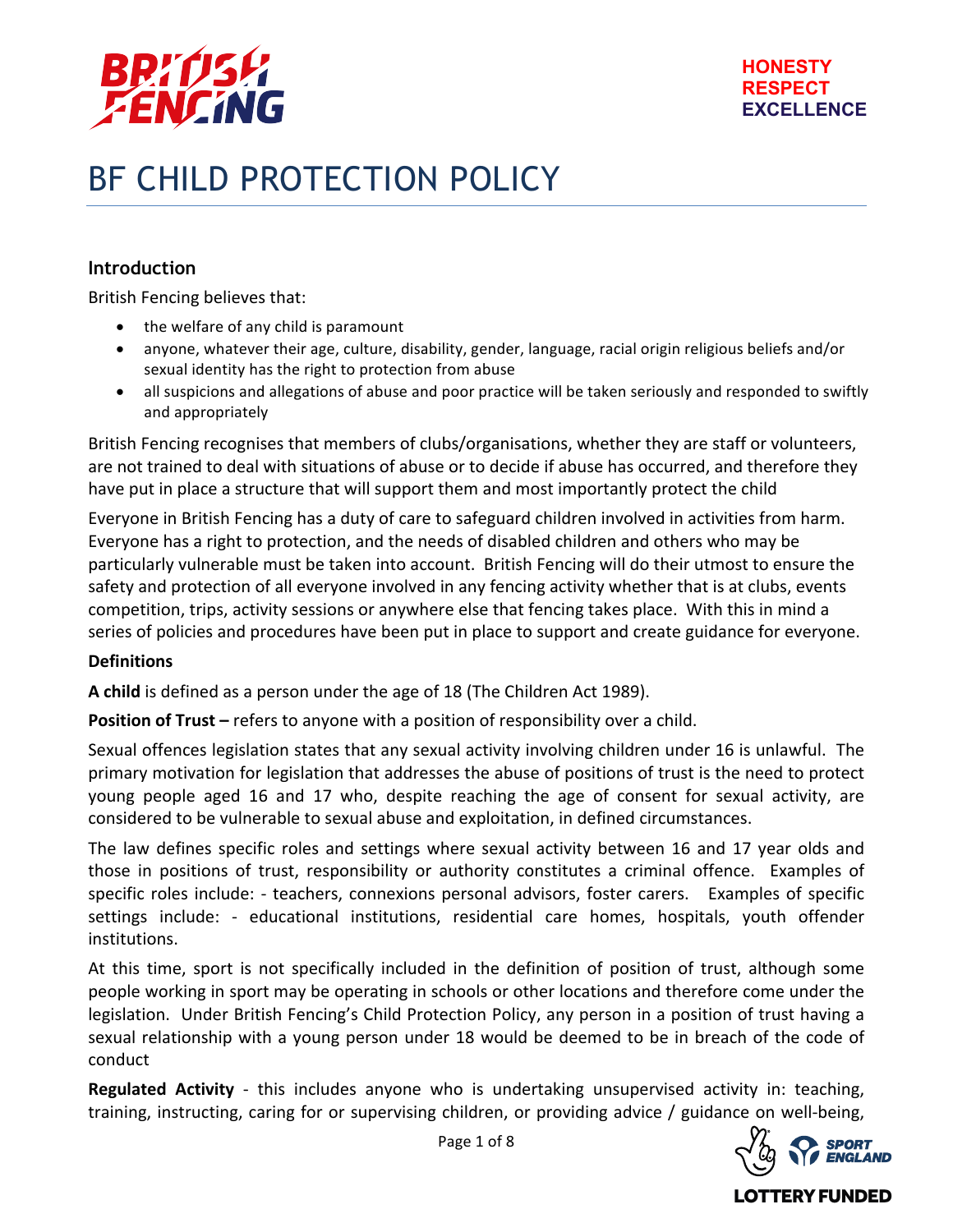

# BF CHILD PROTECTION POLICY

# **Introduction**

British Fencing believes that:

- the welfare of any child is paramount
- anyone, whatever their age, culture, disability, gender, language, racial origin religious beliefs and/or sexual identity has the right to protection from abuse
- all suspicions and allegations of abuse and poor practice will be taken seriously and responded to swiftly and appropriately

British Fencing recognises that members of clubs/organisations, whether they are staff or volunteers, are not trained to deal with situations of abuse or to decide if abuse has occurred, and therefore they have put in place a structure that will support them and most importantly protect the child

Everyone in British Fencing has a duty of care to safeguard children involved in activities from harm. Everyone has a right to protection, and the needs of disabled children and others who may be particularly vulnerable must be taken into account. British Fencing will do their utmost to ensure the safety and protection of all everyone involved in any fencing activity whether that is at clubs, events competition, trips, activity sessions or anywhere else that fencing takes place. With this in mind a series of policies and procedures have been put in place to support and create guidance for everyone.

#### **Definitions**

A child is defined as a person under the age of 18 (The Children Act 1989).

**Position of Trust** – refers to anyone with a position of responsibility over a child.

Sexual offences legislation states that any sexual activity involving children under 16 is unlawful. The primary motivation for legislation that addresses the abuse of positions of trust is the need to protect young people aged 16 and 17 who, despite reaching the age of consent for sexual activity, are considered to be vulnerable to sexual abuse and exploitation, in defined circumstances.

The law defines specific roles and settings where sexual activity between 16 and 17 year olds and those in positions of trust, responsibility or authority constitutes a criminal offence. Examples of specific roles include: - teachers, connexions personal advisors, foster carers. Examples of specific settings include: - educational institutions, residential care homes, hospitals, youth offender institutions.

At this time, sport is not specifically included in the definition of position of trust, although some people working in sport may be operating in schools or other locations and therefore come under the legislation. Under British Fencing's Child Protection Policy, any person in a position of trust having a sexual relationship with a young person under 18 would be deemed to be in breach of the code of conduct

**Regulated Activity** - this includes anyone who is undertaking unsupervised activity in: teaching, training, instructing, caring for or supervising children, or providing advice / guidance on well-being,



LOTTERY FUNDED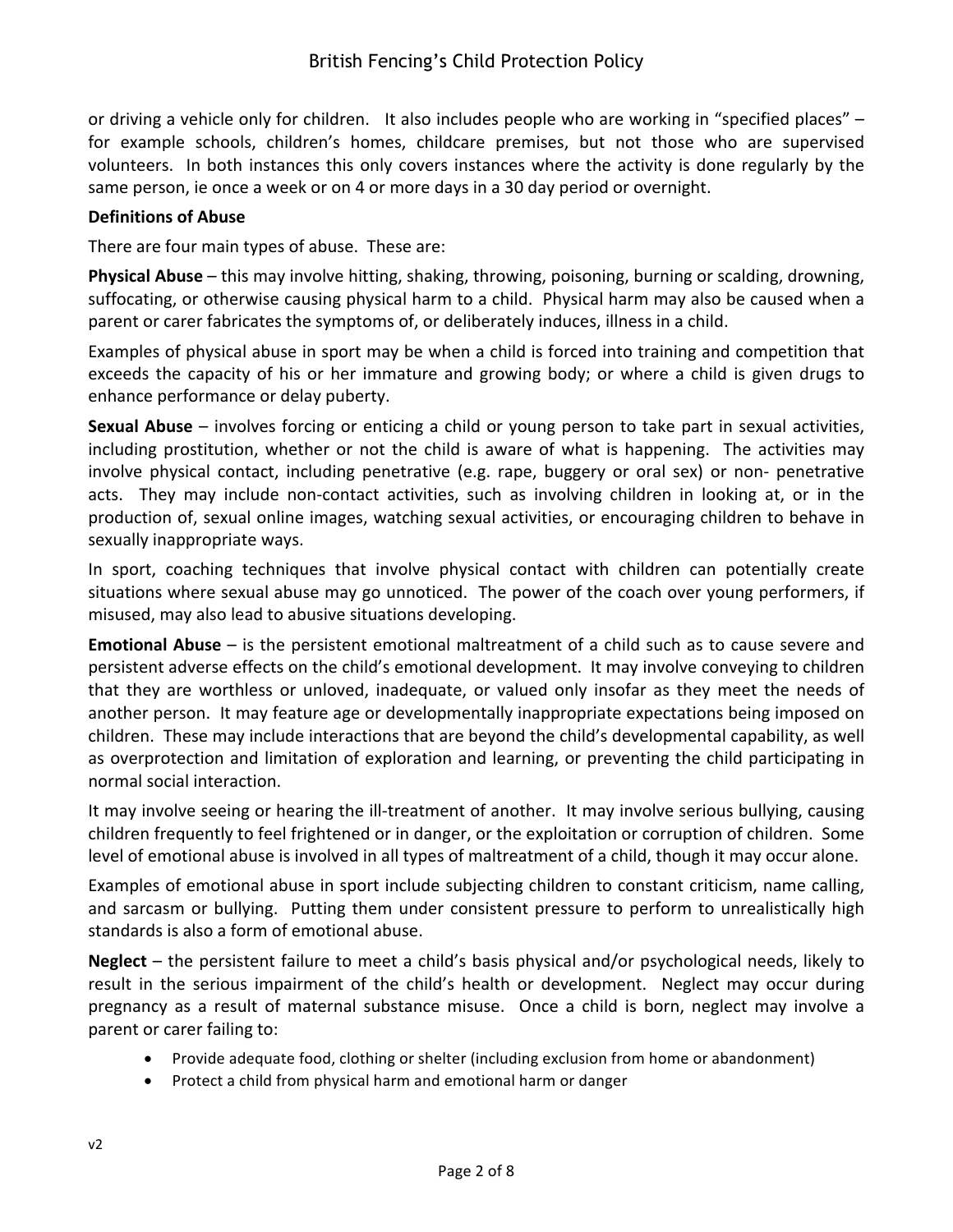or driving a vehicle only for children. It also includes people who are working in "specified places" for example schools, children's homes, childcare premises, but not those who are supervised volunteers. In both instances this only covers instances where the activity is done regularly by the same person, ie once a week or on 4 or more days in a 30 day period or overnight.

#### **Definitions of Abuse**

There are four main types of abuse. These are:

**Physical Abuse** – this may involve hitting, shaking, throwing, poisoning, burning or scalding, drowning, suffocating, or otherwise causing physical harm to a child. Physical harm may also be caused when a parent or carer fabricates the symptoms of, or deliberately induces, illness in a child.

Examples of physical abuse in sport may be when a child is forced into training and competition that exceeds the capacity of his or her immature and growing body; or where a child is given drugs to enhance performance or delay puberty.

**Sexual Abuse** – involves forcing or enticing a child or young person to take part in sexual activities, including prostitution, whether or not the child is aware of what is happening. The activities may involve physical contact, including penetrative (e.g. rape, buggery or oral sex) or non- penetrative acts. They may include non-contact activities, such as involving children in looking at, or in the production of, sexual online images, watching sexual activities, or encouraging children to behave in sexually inappropriate ways.

In sport, coaching techniques that involve physical contact with children can potentially create situations where sexual abuse may go unnoticed. The power of the coach over young performers, if misused, may also lead to abusive situations developing.

**Emotional Abuse** – is the persistent emotional maltreatment of a child such as to cause severe and persistent adverse effects on the child's emotional development. It may involve conveying to children that they are worthless or unloved, inadequate, or valued only insofar as they meet the needs of another person. It may feature age or developmentally inappropriate expectations being imposed on children. These may include interactions that are beyond the child's developmental capability, as well as overprotection and limitation of exploration and learning, or preventing the child participating in normal social interaction.

It may involve seeing or hearing the ill-treatment of another. It may involve serious bullying, causing children frequently to feel frightened or in danger, or the exploitation or corruption of children. Some level of emotional abuse is involved in all types of maltreatment of a child, though it may occur alone.

Examples of emotional abuse in sport include subjecting children to constant criticism, name calling, and sarcasm or bullying. Putting them under consistent pressure to perform to unrealistically high standards is also a form of emotional abuse.

**Neglect** – the persistent failure to meet a child's basis physical and/or psychological needs, likely to result in the serious impairment of the child's health or development. Neglect may occur during pregnancy as a result of maternal substance misuse. Once a child is born, neglect may involve a parent or carer failing to:

- Provide adequate food, clothing or shelter (including exclusion from home or abandonment)
- Protect a child from physical harm and emotional harm or danger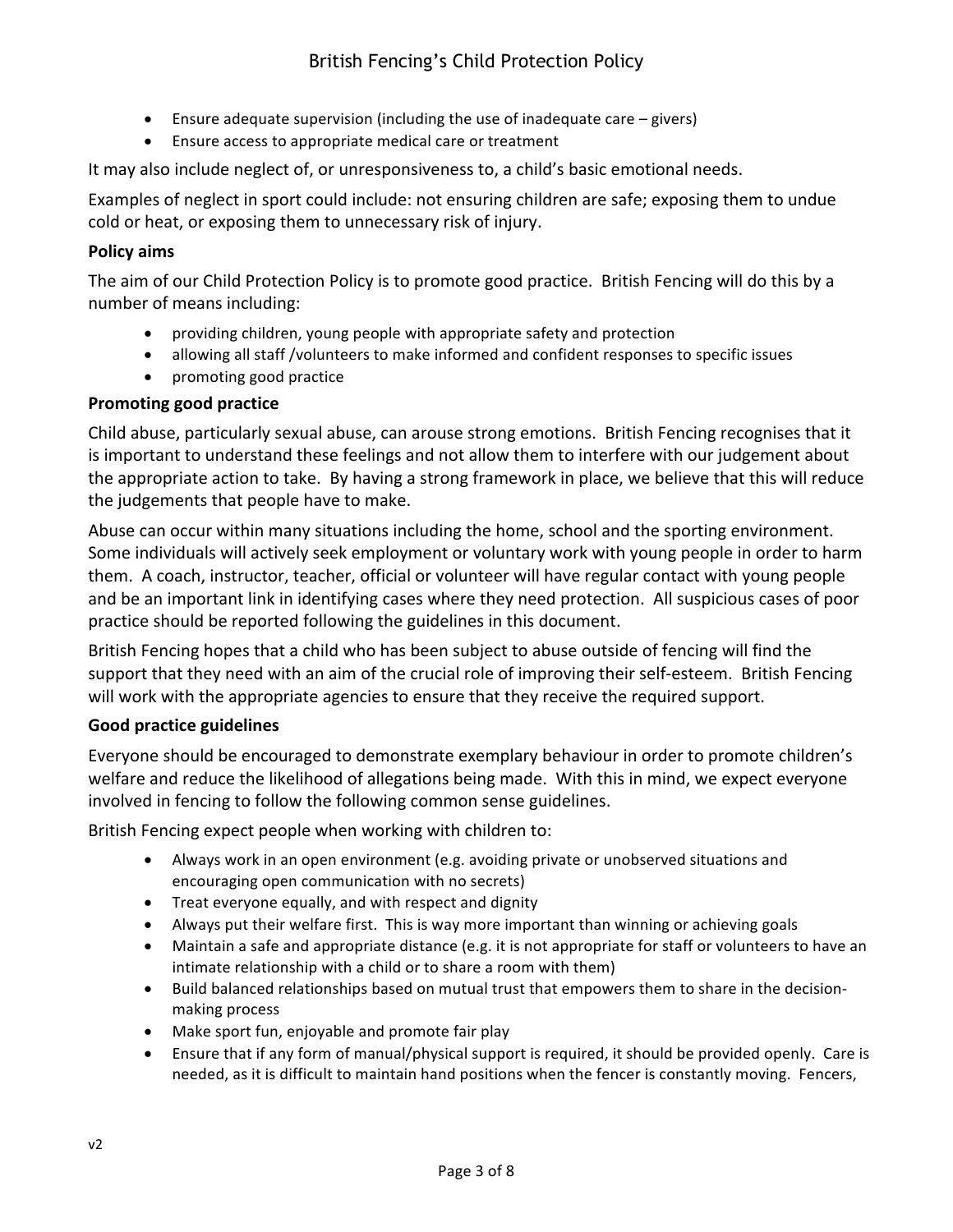- Ensure adequate supervision (including the use of inadequate care  $-$  givers)
- Ensure access to appropriate medical care or treatment

It may also include neglect of, or unresponsiveness to, a child's basic emotional needs.

Examples of neglect in sport could include: not ensuring children are safe; exposing them to undue cold or heat, or exposing them to unnecessary risk of injury.

# **Policy aims**

The aim of our Child Protection Policy is to promote good practice. British Fencing will do this by a number of means including:

- providing children, young people with appropriate safety and protection
- allowing all staff /volunteers to make informed and confident responses to specific issues
- promoting good practice

# **Promoting good practice**

Child abuse, particularly sexual abuse, can arouse strong emotions. British Fencing recognises that it is important to understand these feelings and not allow them to interfere with our judgement about the appropriate action to take. By having a strong framework in place, we believe that this will reduce the judgements that people have to make.

Abuse can occur within many situations including the home, school and the sporting environment. Some individuals will actively seek employment or voluntary work with young people in order to harm them. A coach, instructor, teacher, official or volunteer will have regular contact with young people and be an important link in identifying cases where they need protection. All suspicious cases of poor practice should be reported following the guidelines in this document.

British Fencing hopes that a child who has been subject to abuse outside of fencing will find the support that they need with an aim of the crucial role of improving their self-esteem. British Fencing will work with the appropriate agencies to ensure that they receive the required support.

#### **Good practice guidelines**

Everyone should be encouraged to demonstrate exemplary behaviour in order to promote children's welfare and reduce the likelihood of allegations being made. With this in mind, we expect everyone involved in fencing to follow the following common sense guidelines.

British Fencing expect people when working with children to:

- Always work in an open environment (e.g. avoiding private or unobserved situations and encouraging open communication with no secrets)
- $\bullet$  Treat everyone equally, and with respect and dignity
- Always put their welfare first. This is way more important than winning or achieving goals
- Maintain a safe and appropriate distance (e.g. it is not appropriate for staff or volunteers to have an intimate relationship with a child or to share a room with them)
- Build balanced relationships based on mutual trust that empowers them to share in the decisionmaking process
- Make sport fun, enjoyable and promote fair play
- Ensure that if any form of manual/physical support is required, it should be provided openly. Care is needed, as it is difficult to maintain hand positions when the fencer is constantly moving. Fencers,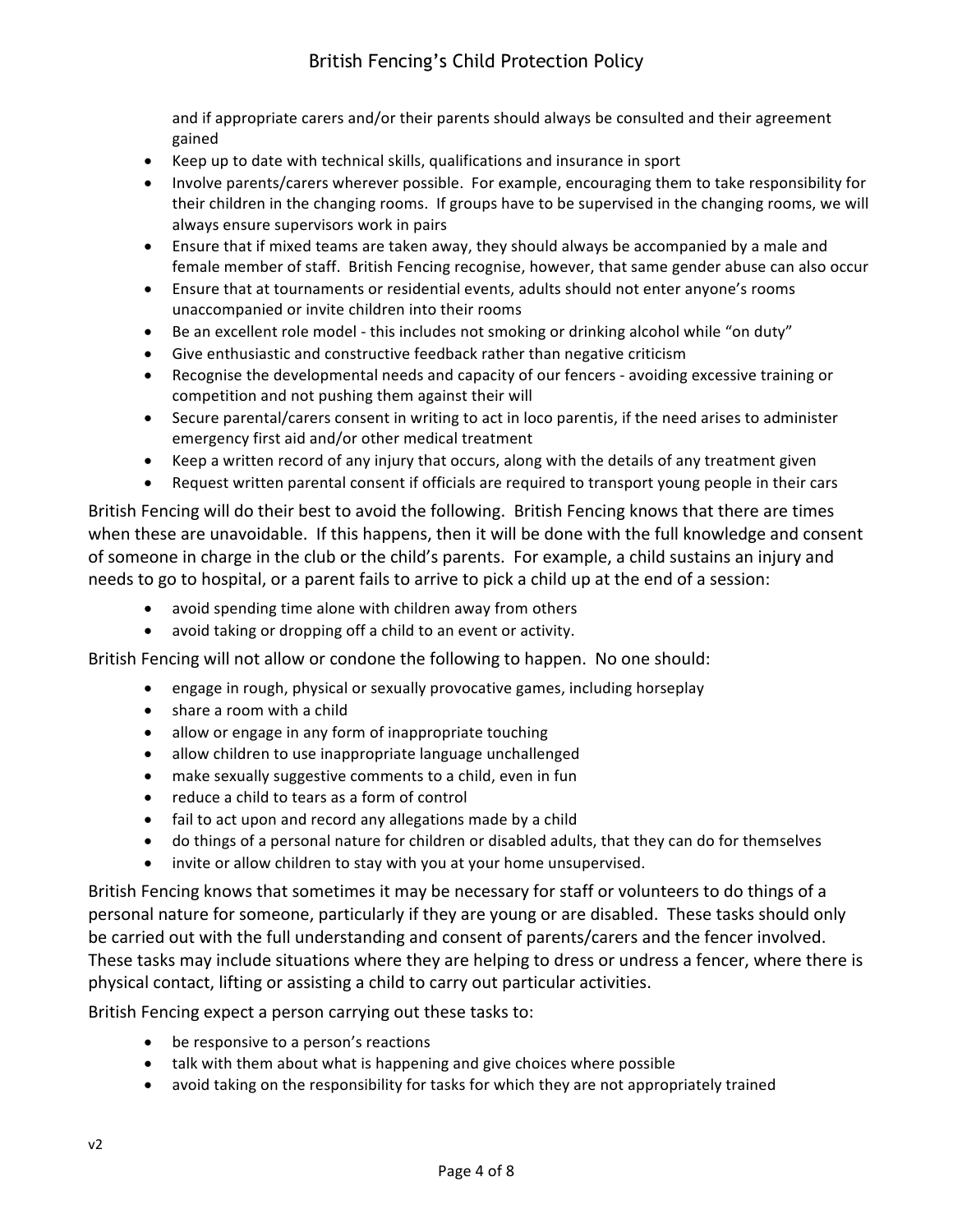and if appropriate carers and/or their parents should always be consulted and their agreement gained 

- Keep up to date with technical skills, qualifications and insurance in sport
- Involve parents/carers wherever possible. For example, encouraging them to take responsibility for their children in the changing rooms. If groups have to be supervised in the changing rooms, we will always ensure supervisors work in pairs
- Ensure that if mixed teams are taken away, they should always be accompanied by a male and female member of staff. British Fencing recognise, however, that same gender abuse can also occur
- Ensure that at tournaments or residential events, adults should not enter anyone's rooms unaccompanied or invite children into their rooms
- Be an excellent role model this includes not smoking or drinking alcohol while "on duty"
- $\bullet$  Give enthusiastic and constructive feedback rather than negative criticism
- Recognise the developmental needs and capacity of our fencers avoiding excessive training or competition and not pushing them against their will
- Secure parental/carers consent in writing to act in loco parentis, if the need arises to administer emergency first aid and/or other medical treatment
- Keep a written record of any injury that occurs, along with the details of any treatment given
- Request written parental consent if officials are required to transport young people in their cars

British Fencing will do their best to avoid the following. British Fencing knows that there are times when these are unavoidable. If this happens, then it will be done with the full knowledge and consent of someone in charge in the club or the child's parents. For example, a child sustains an injury and needs to go to hospital, or a parent fails to arrive to pick a child up at the end of a session:

- avoid spending time alone with children away from others
- avoid taking or dropping off a child to an event or activity.

British Fencing will not allow or condone the following to happen. No one should:

- engage in rough, physical or sexually provocative games, including horseplay
- share a room with a child
- allow or engage in any form of inappropriate touching
- allow children to use inappropriate language unchallenged
- make sexually suggestive comments to a child, even in fun
- reduce a child to tears as a form of control
- fail to act upon and record any allegations made by a child
- do things of a personal nature for children or disabled adults, that they can do for themselves
- invite or allow children to stay with you at your home unsupervised.

British Fencing knows that sometimes it may be necessary for staff or volunteers to do things of a personal nature for someone, particularly if they are young or are disabled. These tasks should only be carried out with the full understanding and consent of parents/carers and the fencer involved. These tasks may include situations where they are helping to dress or undress a fencer, where there is physical contact, lifting or assisting a child to carry out particular activities.

British Fencing expect a person carrying out these tasks to:

- be responsive to a person's reactions
- talk with them about what is happening and give choices where possible
- avoid taking on the responsibility for tasks for which they are not appropriately trained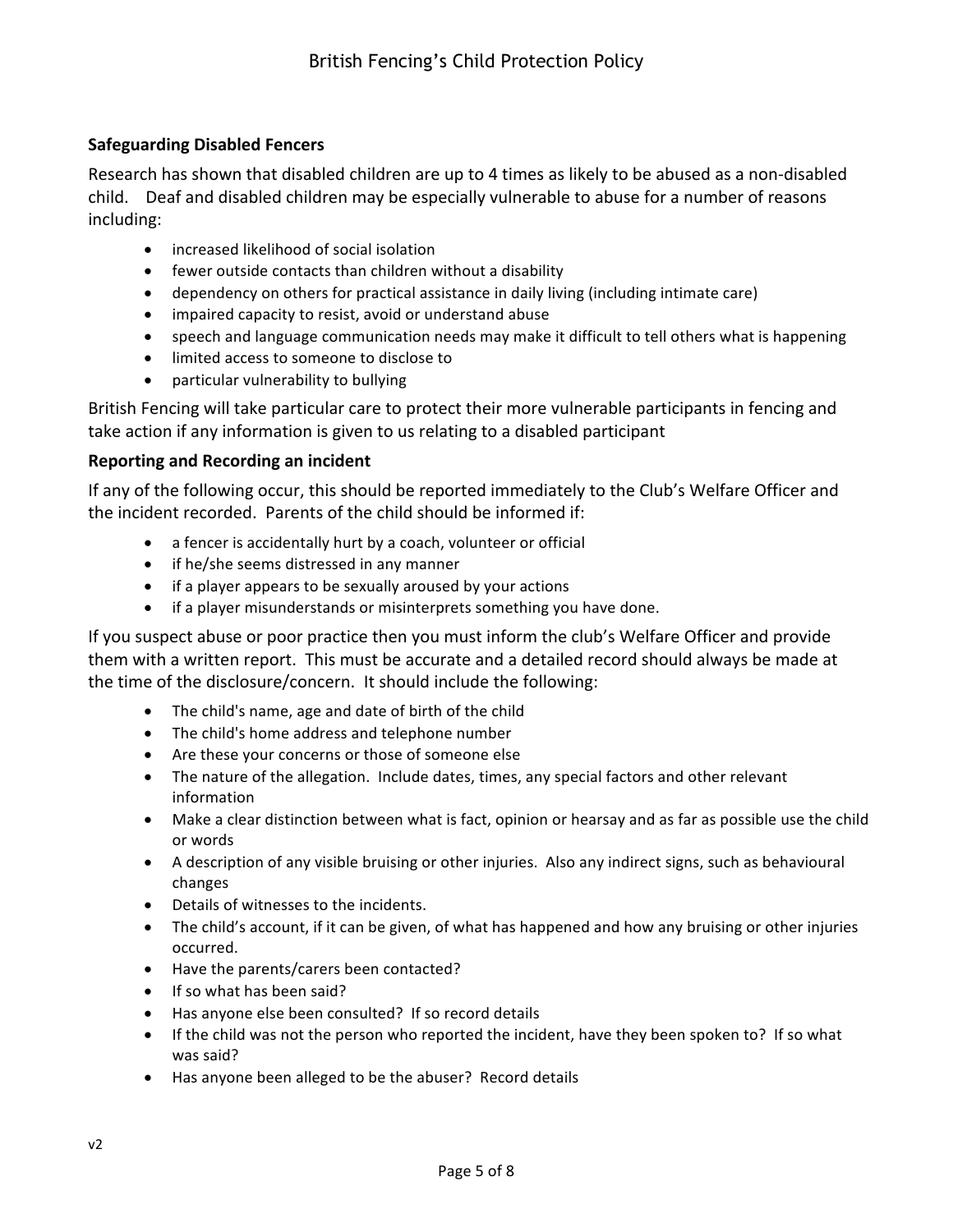# **Safeguarding Disabled Fencers**

Research has shown that disabled children are up to 4 times as likely to be abused as a non-disabled child. Deaf and disabled children may be especially vulnerable to abuse for a number of reasons including:

- increased likelihood of social isolation
- $\bullet$  fewer outside contacts than children without a disability
- dependency on others for practical assistance in daily living (including intimate care)
- impaired capacity to resist, avoid or understand abuse
- speech and language communication needs may make it difficult to tell others what is happening
- limited access to someone to disclose to
- particular vulnerability to bullying

British Fencing will take particular care to protect their more vulnerable participants in fencing and take action if any information is given to us relating to a disabled participant

#### **Reporting and Recording an incident**

If any of the following occur, this should be reported immediately to the Club's Welfare Officer and the incident recorded. Parents of the child should be informed if:

- $\bullet$  a fencer is accidentally hurt by a coach, volunteer or official
- if he/she seems distressed in any manner
- if a player appears to be sexually aroused by your actions
- if a player misunderstands or misinterprets something you have done.

If you suspect abuse or poor practice then you must inform the club's Welfare Officer and provide them with a written report. This must be accurate and a detailed record should always be made at the time of the disclosure/concern. It should include the following:

- The child's name, age and date of birth of the child
- The child's home address and telephone number
- Are these your concerns or those of someone else
- The nature of the allegation. Include dates, times, any special factors and other relevant information
- Make a clear distinction between what is fact, opinion or hearsay and as far as possible use the child or words
- A description of any visible bruising or other injuries. Also any indirect signs, such as behavioural changes
- Details of witnesses to the incidents.
- The child's account, if it can be given, of what has happened and how any bruising or other injuries occurred.
- Have the parents/carers been contacted?
- If so what has been said?
- Has anyone else been consulted? If so record details
- If the child was not the person who reported the incident, have they been spoken to? If so what was said?
- Has anyone been alleged to be the abuser? Record details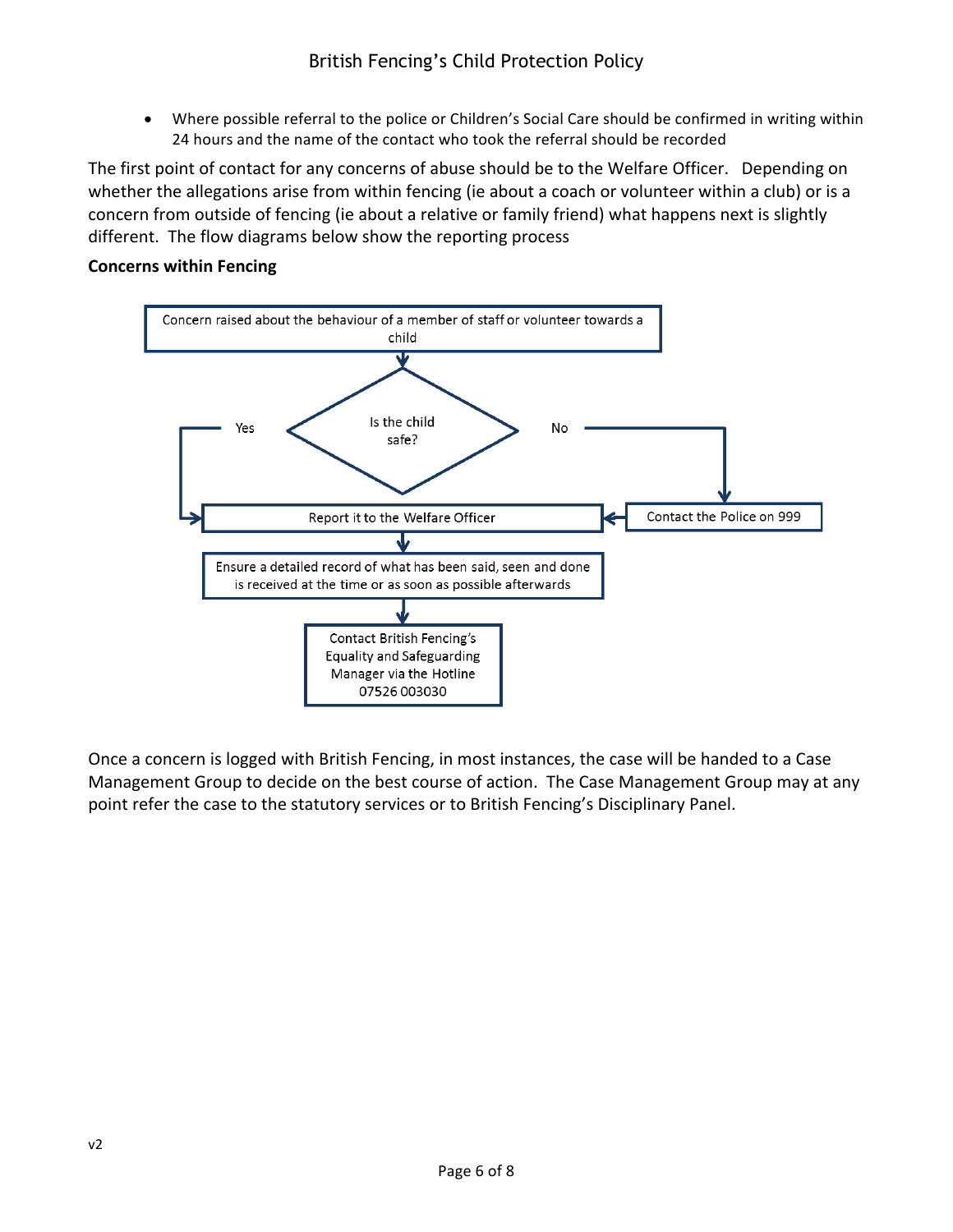• Where possible referral to the police or Children's Social Care should be confirmed in writing within 24 hours and the name of the contact who took the referral should be recorded

The first point of contact for any concerns of abuse should be to the Welfare Officer. Depending on whether the allegations arise from within fencing (ie about a coach or volunteer within a club) or is a concern from outside of fencing (ie about a relative or family friend) what happens next is slightly different. The flow diagrams below show the reporting process

# **Concerns within Fencing**



Once a concern is logged with British Fencing, in most instances, the case will be handed to a Case Management Group to decide on the best course of action. The Case Management Group may at any point refer the case to the statutory services or to British Fencing's Disciplinary Panel.